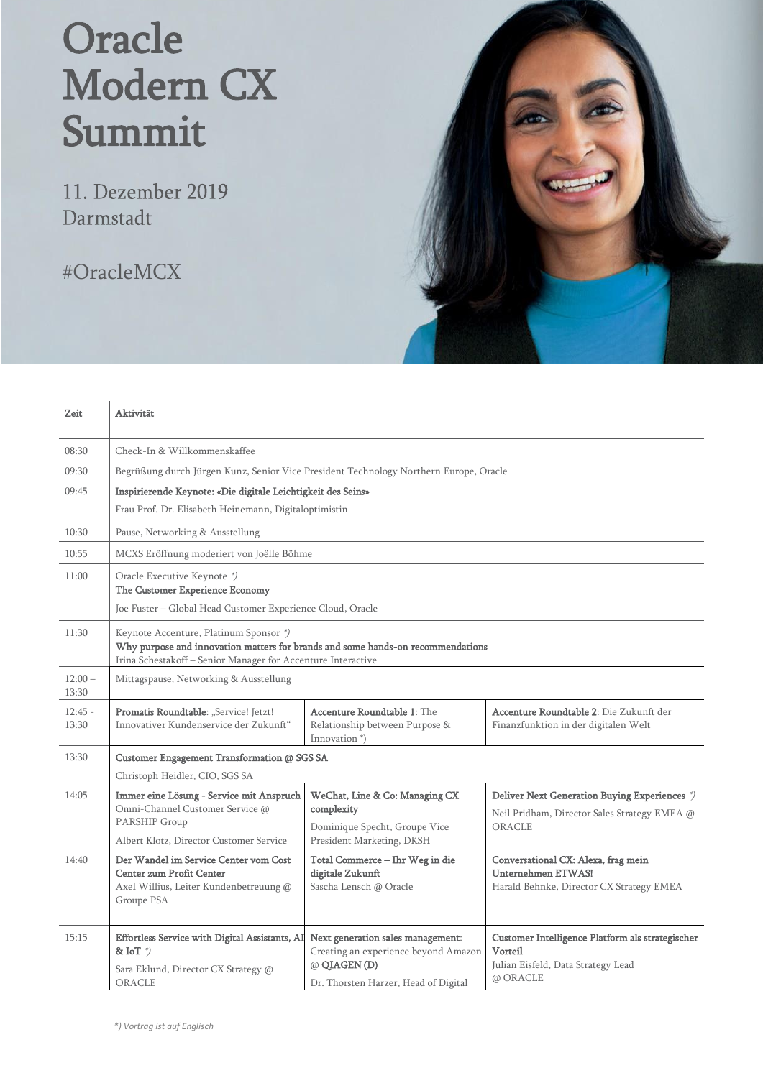## Oracle Modern CX Summit

11. Dezember 2019 Darmstadt

#OracleMCX



| Zeit               | Aktivität                                                                                                                                                                                 |                                                                                                                                  |                                                                                                               |  |  |
|--------------------|-------------------------------------------------------------------------------------------------------------------------------------------------------------------------------------------|----------------------------------------------------------------------------------------------------------------------------------|---------------------------------------------------------------------------------------------------------------|--|--|
| 08:30              | Check-In & Willkommenskaffee                                                                                                                                                              |                                                                                                                                  |                                                                                                               |  |  |
| 09:30              | Begrüßung durch Jürgen Kunz, Senior Vice President Technology Northern Europe, Oracle                                                                                                     |                                                                                                                                  |                                                                                                               |  |  |
| 09:45              | Inspirierende Keynote: «Die digitale Leichtigkeit des Seins»                                                                                                                              |                                                                                                                                  |                                                                                                               |  |  |
|                    | Frau Prof. Dr. Elisabeth Heinemann, Digitaloptimistin                                                                                                                                     |                                                                                                                                  |                                                                                                               |  |  |
| 10:30              | Pause, Networking & Ausstellung                                                                                                                                                           |                                                                                                                                  |                                                                                                               |  |  |
| 10:55              | MCXS Eröffnung moderiert von Joëlle Böhme                                                                                                                                                 |                                                                                                                                  |                                                                                                               |  |  |
| 11:00              | Oracle Executive Keynote *)<br>The Customer Experience Economy                                                                                                                            |                                                                                                                                  |                                                                                                               |  |  |
|                    | Joe Fuster - Global Head Customer Experience Cloud, Oracle                                                                                                                                |                                                                                                                                  |                                                                                                               |  |  |
| 11:30              | Keynote Accenture, Platinum Sponsor *)<br>Why purpose and innovation matters for brands and some hands-on recommendations<br>Irina Schestakoff - Senior Manager for Accenture Interactive |                                                                                                                                  |                                                                                                               |  |  |
| $12:00-$<br>13:30  | Mittagspause, Networking & Ausstellung                                                                                                                                                    |                                                                                                                                  |                                                                                                               |  |  |
| $12:45 -$<br>13:30 | Promatis Roundtable: "Service! Jetzt!<br>Innovativer Kundenservice der Zukunft"                                                                                                           | <b>Accenture Roundtable 1: The</b><br>Relationship between Purpose &<br>Innovation <sup>*</sup> )                                | Accenture Roundtable 2: Die Zukunft der<br>Finanzfunktion in der digitalen Welt                               |  |  |
| 13:30              | Customer Engagement Transformation @ SGS SA                                                                                                                                               |                                                                                                                                  |                                                                                                               |  |  |
|                    | Christoph Heidler, CIO, SGS SA                                                                                                                                                            |                                                                                                                                  |                                                                                                               |  |  |
| 14:05              | Immer eine Lösung - Service mit Anspruch<br>Omni-Channel Customer Service @<br><b>PARSHIP Group</b>                                                                                       | WeChat, Line & Co: Managing CX<br>complexity<br>Dominique Specht, Groupe Vice                                                    | Deliver Next Generation Buying Experiences *)<br>Neil Pridham, Director Sales Strategy EMEA @<br>ORACLE       |  |  |
|                    | Albert Klotz, Director Customer Service                                                                                                                                                   | President Marketing, DKSH                                                                                                        |                                                                                                               |  |  |
| 14:40              | Der Wandel im Service Center vom Cost<br><b>Center zum Profit Center</b><br>Axel Willius, Leiter Kundenbetreuung @<br>Groupe PSA                                                          | Total Commerce - Ihr Weg in die<br>digitale Zukunft<br>Sascha Lensch @ Oracle                                                    | Conversational CX: Alexa, frag mein<br><b>Unternehmen ETWAS!</b><br>Harald Behnke, Director CX Strategy EMEA  |  |  |
| 15:15              | Effortless Service with Digital Assistants, AI<br>& IoT $\sqrt[3]{}$<br>Sara Eklund, Director CX Strategy @<br>ORACLE                                                                     | Next generation sales management:<br>Creating an experience beyond Amazon<br>@ QIAGEN(D)<br>Dr. Thorsten Harzer, Head of Digital | Customer Intelligence Platform als strategischer<br>Vorteil<br>Julian Eisfeld, Data Strategy Lead<br>@ ORACLE |  |  |